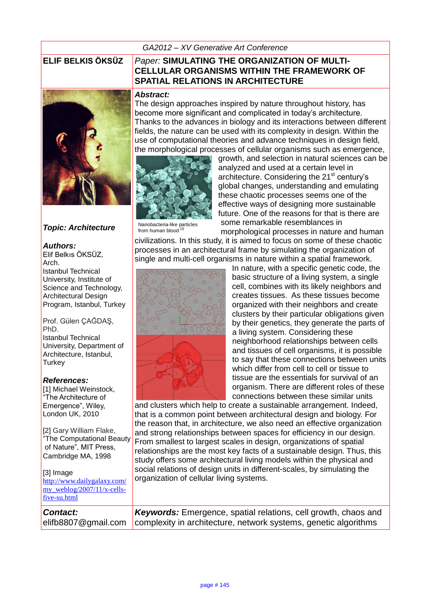#### *GA2012 – XV Generative Art Conference*



*Topic: Architecture*

#### *Authors:*

Elif Belkıs ÖKSÜZ, Arch. Istanbul Technical University, Institute of Science and Technology, Architectural Design Program, Istanbul, Turkey

Prof. Gülen ÇAĞDAŞ, PhD. Istanbul Technical University, Department of Architecture, Istanbul, **Turkey** 

#### *References:*

[1] Michael Weinstock, "The Architecture of Emergence", Wiley, London UK, 2010

[2] Gary William Flake, "The Computational Beauty of Nature", MIT Press, Cambridge MA, 1998

[3] Image [http://www.dailygalaxy.com/](http://www.dailygalaxy.com/my_weblog/2007/11/x-cells-five-su.html) [my\\_weblog/2007/11/x-cells](http://www.dailygalaxy.com/my_weblog/2007/11/x-cells-five-su.html)[five-su.html](http://www.dailygalaxy.com/my_weblog/2007/11/x-cells-five-su.html)

*Contact:*  elifb8807@gmail.com

## **ELIF BELKIS ÖKSÜZ** *Paper:* **SIMULATING THE ORGANIZATION OF MULTI-CELLULAR ORGANISMS WITHIN THE FRAMEWORK OF SPATIAL RELATIONS IN ARCHITECTURE**

#### *Abstract:*

The design approaches inspired by nature throughout history, has become more significant and complicated in today's architecture. Thanks to the advances in biology and its interactions between different fields, the nature can be used with its complexity in design. Within the use of computational theories and advance techniques in design field, the morphological processes of cellular organisms such as emergence,



Nanobacteria-like particles from human blood [3]

growth, and selection in natural sciences can be analyzed and used at a certain level in architecture. Considering the 21<sup>st</sup> century's global changes, understanding and emulating these chaotic processes seems one of the effective ways of designing more sustainable future. One of the reasons for that is there are some remarkable resemblances in

morphological processes in nature and human civilizations. In this study, it is aimed to focus on some of these chaotic processes in an architectural frame by simulating the organization of single and multi-cell organisms in nature within a spatial framework.



In nature, with a specific genetic code, the basic structure of a living system, a single cell, combines with its likely neighbors and creates tissues. As these tissues become organized with their neighbors and create clusters by their particular obligations given by their genetics, they generate the parts of a living system. Considering these neighborhood relationships between cells and tissues of cell organisms, it is possible to say that these connections between units which differ from cell to cell or tissue to tissue are the essentials for survival of an organism. There are different roles of these connections between these similar units

and clusters which help to create a sustainable arrangement. Indeed, that is a common point between architectural design and biology. For the reason that, in architecture, we also need an effective organization and strong relationships between spaces for efficiency in our design. From smallest to largest scales in design, organizations of spatial relationships are the most key facts of a sustainable design. Thus, this study offers some architectural living models within the physical and social relations of design units in different-scales, by simulating the organization of cellular living systems.

*Keywords:* Emergence, spatial relations, cell growth, chaos and complexity in architecture, network systems, genetic algorithms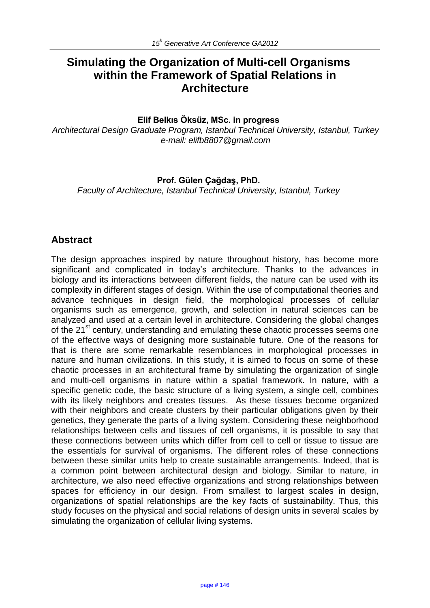# **Simulating the Organization of Multi-cell Organisms within the Framework of Spatial Relations in Architecture**

#### **Elif Belkıs Öksüz, MSc. in progress**

*Architectural Design Graduate Program, Istanbul Technical University, Istanbul, Turkey e-mail: elifb8807@gmail.com* 

### **Prof. Gülen Çağdaş, PhD.**

*Faculty of Architecture, Istanbul Technical University, Istanbul, Turkey*

# **Abstract**

The design approaches inspired by nature throughout history, has become more significant and complicated in today's architecture. Thanks to the advances in biology and its interactions between different fields, the nature can be used with its complexity in different stages of design. Within the use of computational theories and advance techniques in design field, the morphological processes of cellular organisms such as emergence, growth, and selection in natural sciences can be analyzed and used at a certain level in architecture. Considering the global changes of the 21<sup>st</sup> century, understanding and emulating these chaotic processes seems one of the effective ways of designing more sustainable future. One of the reasons for that is there are some remarkable resemblances in morphological processes in nature and human civilizations. In this study, it is aimed to focus on some of these chaotic processes in an architectural frame by simulating the organization of single and multi-cell organisms in nature within a spatial framework. In nature, with a specific genetic code, the basic structure of a living system, a single cell, combines with its likely neighbors and creates tissues. As these tissues become organized with their neighbors and create clusters by their particular obligations given by their genetics, they generate the parts of a living system. Considering these neighborhood relationships between cells and tissues of cell organisms, it is possible to say that these connections between units which differ from cell to cell or tissue to tissue are the essentials for survival of organisms. The different roles of these connections between these similar units help to create sustainable arrangements. Indeed, that is a common point between architectural design and biology. Similar to nature, in architecture, we also need effective organizations and strong relationships between spaces for efficiency in our design. From smallest to largest scales in design, organizations of spatial relationships are the key facts of sustainability. Thus, this study focuses on the physical and social relations of design units in several scales by simulating the organization of cellular living systems.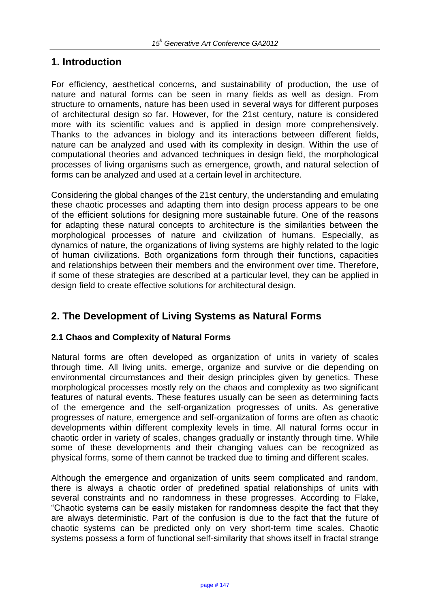# **1. Introduction**

For efficiency, aesthetical concerns, and sustainability of production, the use of nature and natural forms can be seen in many fields as well as design. From structure to ornaments, nature has been used in several ways for different purposes of architectural design so far. However, for the 21st century, nature is considered more with its scientific values and is applied in design more comprehensively. Thanks to the advances in biology and its interactions between different fields, nature can be analyzed and used with its complexity in design. Within the use of computational theories and advanced techniques in design field, the morphological processes of living organisms such as emergence, growth, and natural selection of forms can be analyzed and used at a certain level in architecture.

Considering the global changes of the 21st century, the understanding and emulating these chaotic processes and adapting them into design process appears to be one of the efficient solutions for designing more sustainable future. One of the reasons for adapting these natural concepts to architecture is the similarities between the morphological processes of nature and civilization of humans. Especially, as dynamics of nature, the organizations of living systems are highly related to the logic of human civilizations. Both organizations form through their functions, capacities and relationships between their members and the environment over time. Therefore, if some of these strategies are described at a particular level, they can be applied in design field to create effective solutions for architectural design.

# **2. The Development of Living Systems as Natural Forms**

## **2.1 Chaos and Complexity of Natural Forms**

Natural forms are often developed as organization of units in variety of scales through time. All living units, emerge, organize and survive or die depending on environmental circumstances and their design principles given by genetics. These morphological processes mostly rely on the chaos and complexity as two significant features of natural events. These features usually can be seen as determining facts of the emergence and the self-organization progresses of units. As generative progresses of nature, emergence and self-organization of forms are often as chaotic developments within different complexity levels in time. All natural forms occur in chaotic order in variety of scales, changes gradually or instantly through time. While some of these developments and their changing values can be recognized as physical forms, some of them cannot be tracked due to timing and different scales.

Although the emergence and organization of units seem complicated and random, there is always a chaotic order of predefined spatial relationships of units with several constraints and no randomness in these progresses. According to Flake, "Chaotic systems can be easily mistaken for randomness despite the fact that they are always deterministic. Part of the confusion is due to the fact that the future of chaotic systems can be predicted only on very short-term time scales. Chaotic systems possess a form of functional self-similarity that shows itself in fractal strange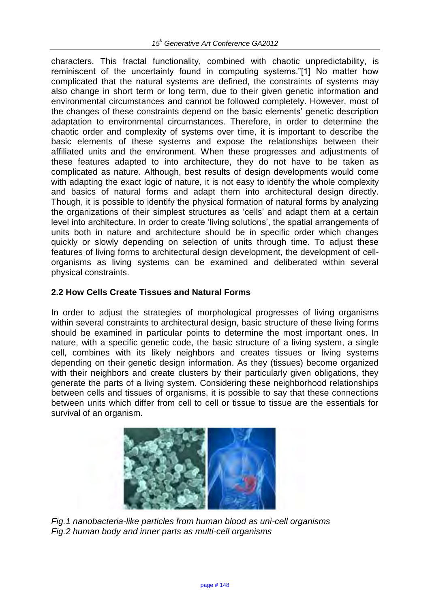characters. This fractal functionality, combined with chaotic unpredictability, is reminiscent of the uncertainty found in computing systems."[1] No matter how complicated that the natural systems are defined, the constraints of systems may also change in short term or long term, due to their given genetic information and environmental circumstances and cannot be followed completely. However, most of the changes of these constraints depend on the basic elements' genetic description adaptation to environmental circumstances. Therefore, in order to determine the chaotic order and complexity of systems over time, it is important to describe the basic elements of these systems and expose the relationships between their affiliated units and the environment. When these progresses and adjustments of these features adapted to into architecture, they do not have to be taken as complicated as nature. Although, best results of design developments would come with adapting the exact logic of nature, it is not easy to identify the whole complexity and basics of natural forms and adapt them into architectural design directly. Though, it is possible to identify the physical formation of natural forms by analyzing the organizations of their simplest structures as 'cells' and adapt them at a certain level into architecture. In order to create 'living solutions', the spatial arrangements of units both in nature and architecture should be in specific order which changes quickly or slowly depending on selection of units through time. To adjust these features of living forms to architectural design development, the development of cellorganisms as living systems can be examined and deliberated within several physical constraints.

### **2.2 How Cells Create Tissues and Natural Forms**

In order to adjust the strategies of morphological progresses of living organisms within several constraints to architectural design, basic structure of these living forms should be examined in particular points to determine the most important ones. In nature, with a specific genetic code, the basic structure of a living system, a single cell, combines with its likely neighbors and creates tissues or living systems depending on their genetic design information. As they (tissues) become organized with their neighbors and create clusters by their particularly given obligations, they generate the parts of a living system. Considering these neighborhood relationships between cells and tissues of organisms, it is possible to say that these connections between units which differ from cell to cell or tissue to tissue are the essentials for survival of an organism.



*Fig.1 nanobacteria-like particles from human blood as uni-cell organisms Fig.2 human body and inner parts as multi-cell organisms*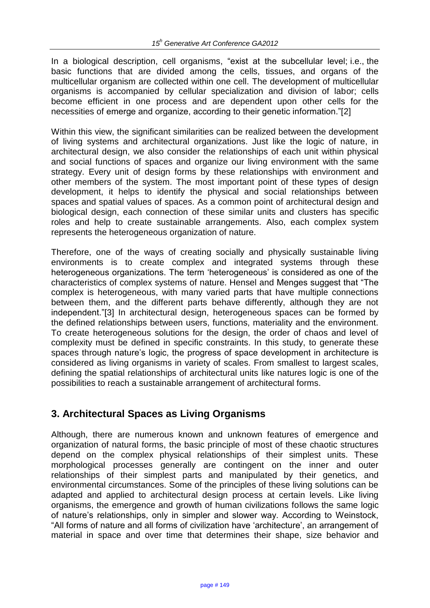In a biological description, cell organisms, "exist at the subcellular level; i.e., the basic functions that are divided among the cells, tissues, and organs of the multicellular organism are collected within one cell. The development of multicellular organisms is accompanied by cellular specialization and division of labor; cells become efficient in one process and are dependent upon other cells for the necessities of emerge and organize, according to their genetic information."[2]

Within this view, the significant similarities can be realized between the development of living systems and architectural organizations. Just like the logic of nature, in architectural design, we also consider the relationships of each unit within physical and social functions of spaces and organize our living environment with the same strategy. Every unit of design forms by these relationships with environment and other members of the system. The most important point of these types of design development, it helps to identify the physical and social relationships between spaces and spatial values of spaces. As a common point of architectural design and biological design, each connection of these similar units and clusters has specific roles and help to create sustainable arrangements. Also, each complex system represents the heterogeneous organization of nature.

Therefore, one of the ways of creating socially and physically sustainable living environments is to create complex and integrated systems through these heterogeneous organizations. The term 'heterogeneous' is considered as one of the characteristics of complex systems of nature. Hensel and Menges suggest that "The complex is heterogeneous, with many varied parts that have multiple connections between them, and the different parts behave differently, although they are not independent."[3] In architectural design, heterogeneous spaces can be formed by the defined relationships between users, functions, materiality and the environment. To create heterogeneous solutions for the design, the order of chaos and level of complexity must be defined in specific constraints. In this study, to generate these spaces through nature's logic, the progress of space development in architecture is considered as living organisms in variety of scales. From smallest to largest scales, defining the spatial relationships of architectural units like natures logic is one of the possibilities to reach a sustainable arrangement of architectural forms.

# **3. Architectural Spaces as Living Organisms**

Although, there are numerous known and unknown features of emergence and organization of natural forms, the basic principle of most of these chaotic structures depend on the complex physical relationships of their simplest units. These morphological processes generally are contingent on the inner and outer relationships of their simplest parts and manipulated by their genetics, and environmental circumstances. Some of the principles of these living solutions can be adapted and applied to architectural design process at certain levels. Like living organisms, the emergence and growth of human civilizations follows the same logic of nature's relationships, only in simpler and slower way. According to Weinstock, "All forms of nature and all forms of civilization have 'architecture', an arrangement of material in space and over time that determines their shape, size behavior and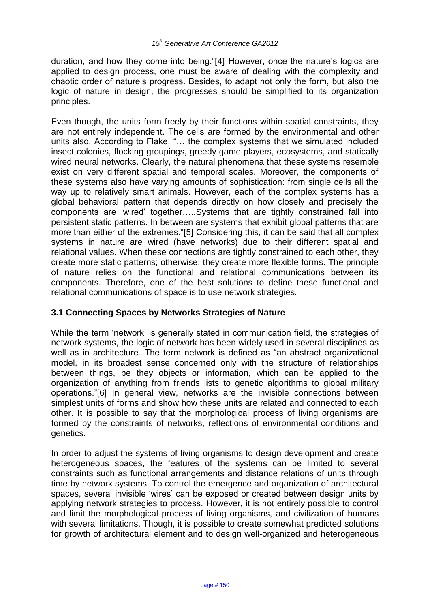duration, and how they come into being."[4] However, once the nature's logics are applied to design process, one must be aware of dealing with the complexity and chaotic order of nature's progress. Besides, to adapt not only the form, but also the logic of nature in design, the progresses should be simplified to its organization principles.

Even though, the units form freely by their functions within spatial constraints, they are not entirely independent. The cells are formed by the environmental and other units also. According to Flake, "… the complex systems that we simulated included insect colonies, flocking groupings, greedy game players, ecosystems, and statically wired neural networks. Clearly, the natural phenomena that these systems resemble exist on very different spatial and temporal scales. Moreover, the components of these systems also have varying amounts of sophistication: from single cells all the way up to relatively smart animals. However, each of the complex systems has a global behavioral pattern that depends directly on how closely and precisely the components are 'wired' together…..Systems that are tightly constrained fall into persistent static patterns. In between are systems that exhibit global patterns that are more than either of the extremes."[5] Considering this, it can be said that all complex systems in nature are wired (have networks) due to their different spatial and relational values. When these connections are tightly constrained to each other, they create more static patterns; otherwise, they create more flexible forms. The principle of nature relies on the functional and relational communications between its components. Therefore, one of the best solutions to define these functional and relational communications of space is to use network strategies.

## **3.1 Connecting Spaces by Networks Strategies of Nature**

While the term 'network' is generally stated in communication field, the strategies of network systems, the logic of network has been widely used in several disciplines as well as in architecture. The term network is defined as "an abstract organizational model, in its broadest sense concerned only with the structure of relationships between things, be they objects or information, which can be applied to the organization of anything from friends lists to genetic algorithms to global military operations."[6] In general view, networks are the invisible connections between simplest units of forms and show how these units are related and connected to each other. It is possible to say that the morphological process of living organisms are formed by the constraints of networks, reflections of environmental conditions and genetics.

In order to adjust the systems of living organisms to design development and create heterogeneous spaces, the features of the systems can be limited to several constraints such as functional arrangements and distance relations of units through time by network systems. To control the emergence and organization of architectural spaces, several invisible 'wires' can be exposed or created between design units by applying network strategies to process. However, it is not entirely possible to control and limit the morphological process of living organisms, and civilization of humans with several limitations. Though, it is possible to create somewhat predicted solutions for growth of architectural element and to design well-organized and heterogeneous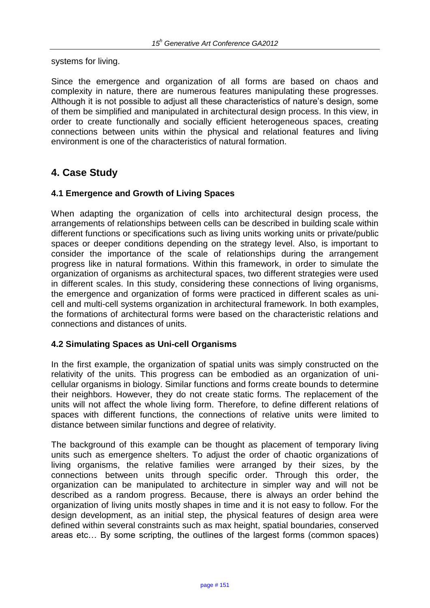systems for living.

Since the emergence and organization of all forms are based on chaos and complexity in nature, there are numerous features manipulating these progresses. Although it is not possible to adjust all these characteristics of nature's design, some of them be simplified and manipulated in architectural design process. In this view, in order to create functionally and socially efficient heterogeneous spaces, creating connections between units within the physical and relational features and living environment is one of the characteristics of natural formation.

# **4. Case Study**

## **4.1 Emergence and Growth of Living Spaces**

When adapting the organization of cells into architectural design process, the arrangements of relationships between cells can be described in building scale within different functions or specifications such as living units working units or private/public spaces or deeper conditions depending on the strategy level. Also, is important to consider the importance of the scale of relationships during the arrangement progress like in natural formations. Within this framework, in order to simulate the organization of organisms as architectural spaces, two different strategies were used in different scales. In this study, considering these connections of living organisms, the emergence and organization of forms were practiced in different scales as unicell and multi-cell systems organization in architectural framework. In both examples, the formations of architectural forms were based on the characteristic relations and connections and distances of units.

### **4.2 Simulating Spaces as Uni-cell Organisms**

In the first example, the organization of spatial units was simply constructed on the relativity of the units. This progress can be embodied as an organization of unicellular organisms in biology. Similar functions and forms create bounds to determine their neighbors. However, they do not create static forms. The replacement of the units will not affect the whole living form. Therefore, to define different relations of spaces with different functions, the connections of relative units were limited to distance between similar functions and degree of relativity.

The background of this example can be thought as placement of temporary living units such as emergence shelters. To adjust the order of chaotic organizations of living organisms, the relative families were arranged by their sizes, by the connections between units through specific order. Through this order, the organization can be manipulated to architecture in simpler way and will not be described as a random progress. Because, there is always an order behind the organization of living units mostly shapes in time and it is not easy to follow. For the design development, as an initial step, the physical features of design area were defined within several constraints such as max height, spatial boundaries, conserved areas etc… By some scripting, the outlines of the largest forms (common spaces)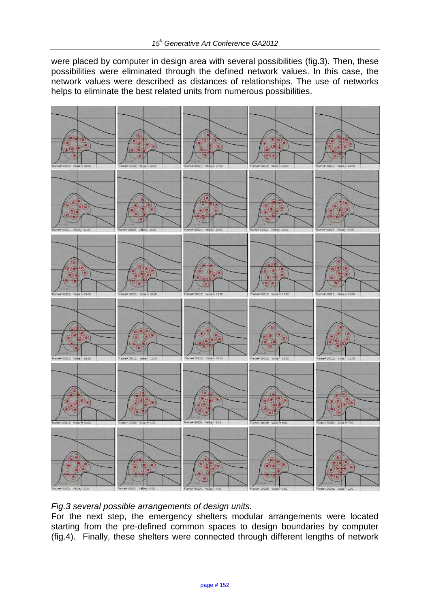were placed by computer in design area with several possibilities (fig.3). Then, these possibilities were eliminated through the defined network values. In this case, the network values were described as distances of relationships. The use of networks helps to eliminate the best related units from numerous possibilities.



*Fig.3 several possible arrangements of design units.* 

For the next step, the emergency shelters modular arrangements were located starting from the pre-defined common spaces to design boundaries by computer (fig.4). Finally, these shelters were connected through different lengths of network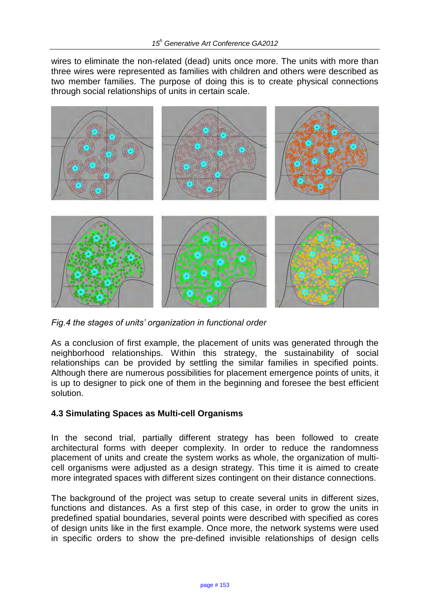wires to eliminate the non-related (dead) units once more. The units with more than three wires were represented as families with children and others were described as two member families. The purpose of doing this is to create physical connections through social relationships of units in certain scale.



*Fig.4 the stages of units' organization in functional order* 

As a conclusion of first example, the placement of units was generated through the neighborhood relationships. Within this strategy, the sustainability of social relationships can be provided by settling the similar families in specified points. Although there are numerous possibilities for placement emergence points of units, it is up to designer to pick one of them in the beginning and foresee the best efficient solution.

### **4.3 Simulating Spaces as Multi-cell Organisms**

In the second trial, partially different strategy has been followed to create architectural forms with deeper complexity. In order to reduce the randomness placement of units and create the system works as whole, the organization of multicell organisms were adjusted as a design strategy. This time it is aimed to create more integrated spaces with different sizes contingent on their distance connections.

The background of the project was setup to create several units in different sizes, functions and distances. As a first step of this case, in order to grow the units in predefined spatial boundaries, several points were described with specified as cores of design units like in the first example. Once more, the network systems were used in specific orders to show the pre-defined invisible relationships of design cells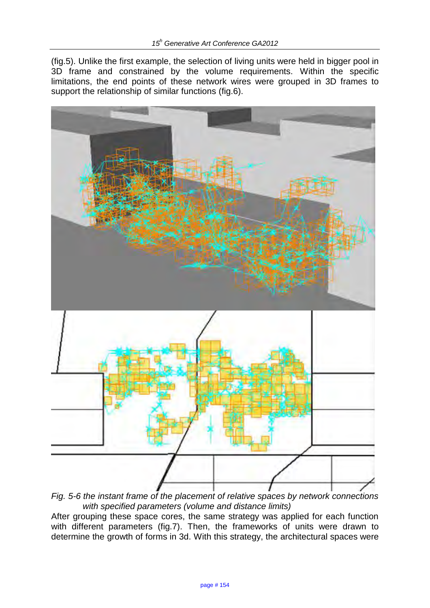(fig.5). Unlike the first example, the selection of living units were held in bigger pool in 3D frame and constrained by the volume requirements. Within the specific limitations, the end points of these network wires were grouped in 3D frames to support the relationship of similar functions (fig.6).



*Fig. 5-6 the instant frame of the placement of relative spaces by network connections with specified parameters (volume and distance limits)* 

After grouping these space cores, the same strategy was applied for each function with different parameters (fig.7). Then, the frameworks of units were drawn to determine the growth of forms in 3d. With this strategy, the architectural spaces were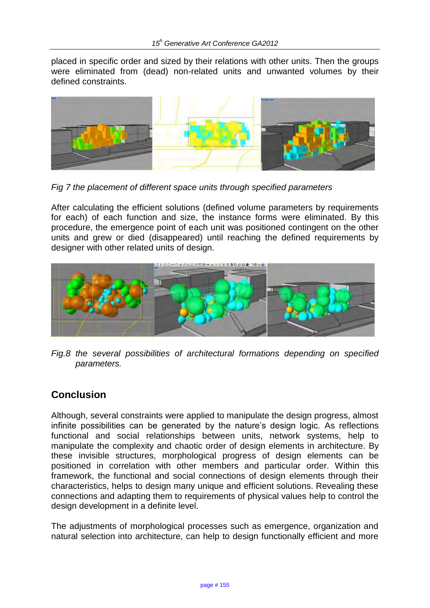placed in specific order and sized by their relations with other units. Then the groups were eliminated from (dead) non-related units and unwanted volumes by their defined constraints.



*Fig 7 the placement of different space units through specified parameters* 

After calculating the efficient solutions (defined volume parameters by requirements for each) of each function and size, the instance forms were eliminated. By this procedure, the emergence point of each unit was positioned contingent on the other units and grew or died (disappeared) until reaching the defined requirements by designer with other related units of design.



*Fig.8 the several possibilities of architectural formations depending on specified parameters.* 

# **Conclusion**

Although, several constraints were applied to manipulate the design progress, almost infinite possibilities can be generated by the nature's design logic. As reflections functional and social relationships between units, network systems, help to manipulate the complexity and chaotic order of design elements in architecture. By these invisible structures, morphological progress of design elements can be positioned in correlation with other members and particular order. Within this framework, the functional and social connections of design elements through their characteristics, helps to design many unique and efficient solutions. Revealing these connections and adapting them to requirements of physical values help to control the design development in a definite level.

The adjustments of morphological processes such as emergence, organization and natural selection into architecture, can help to design functionally efficient and more